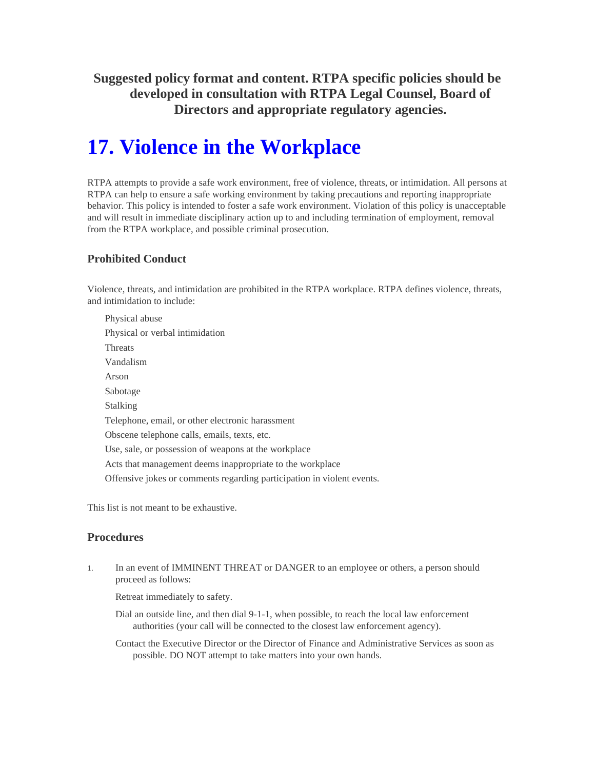**Suggested policy format and content. RTPA specific policies should be developed in consultation with RTPA Legal Counsel, Board of Directors and appropriate regulatory agencies.** 

# **17. Violence in the Workplace**

RTPA attempts to provide a safe work environment, free of violence, threats, or intimidation. All persons at RTPA can help to ensure a safe working environment by taking precautions and reporting inappropriate behavior. This policy is intended to foster a safe work environment. Violation of this policy is unacceptable and will result in immediate disciplinary action up to and including termination of employment, removal from the RTPA workplace, and possible criminal prosecution.

### **Prohibited Conduct**

Violence, threats, and intimidation are prohibited in the RTPA workplace. RTPA defines violence, threats, and intimidation to include:

Physical abuse Physical or verbal intimidation Threats Vandalism Arson Sabotage Stalking Telephone, email, or other electronic harassment Obscene telephone calls, emails, texts, etc. Use, sale, or possession of weapons at the workplace Acts that management deems inappropriate to the workplace Offensive jokes or comments regarding participation in violent events.

This list is not meant to be exhaustive.

#### **Procedures**

1. In an event of IMMINENT THREAT or DANGER to an employee or others, a person should proceed as follows:

Retreat immediately to safety.

Dial an outside line, and then dial 9-1-1, when possible, to reach the local law enforcement authorities (your call will be connected to the closest law enforcement agency).

Contact the Executive Director or the Director of Finance and Administrative Services as soon as possible. DO NOT attempt to take matters into your own hands.